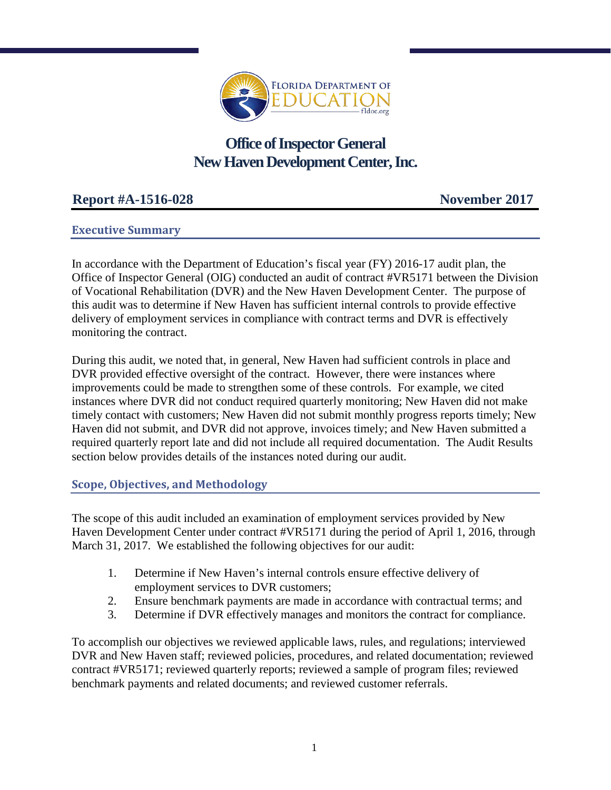

# **Office of Inspector General New Haven Development Center, Inc.**

# **Report #A-1516-028 November 2017**

# **Executive Summary**

In accordance with the Department of Education's fiscal year (FY) 2016-17 audit plan, the Office of Inspector General (OIG) conducted an audit of contract #VR5171 between the Division of Vocational Rehabilitation (DVR) and the New Haven Development Center. The purpose of this audit was to determine if New Haven has sufficient internal controls to provide effective delivery of employment services in compliance with contract terms and DVR is effectively monitoring the contract.

During this audit, we noted that, in general, New Haven had sufficient controls in place and DVR provided effective oversight of the contract. However, there were instances where improvements could be made to strengthen some of these controls. For example, we cited instances where DVR did not conduct required quarterly monitoring; New Haven did not make timely contact with customers; New Haven did not submit monthly progress reports timely; New Haven did not submit, and DVR did not approve, invoices timely; and New Haven submitted a required quarterly report late and did not include all required documentation. The Audit Results section below provides details of the instances noted during our audit.

# **Scope, Objectives, and Methodology**

The scope of this audit included an examination of employment services provided by New Haven Development Center under contract #VR5171 during the period of April 1, 2016, through March 31, 2017. We established the following objectives for our audit:

- 1. Determine if New Haven's internal controls ensure effective delivery of employment services to DVR customers;
- 2. Ensure benchmark payments are made in accordance with contractual terms; and
- 3. Determine if DVR effectively manages and monitors the contract for compliance.

To accomplish our objectives we reviewed applicable laws, rules, and regulations; interviewed DVR and New Haven staff; reviewed policies, procedures, and related documentation; reviewed contract #VR5171; reviewed quarterly reports; reviewed a sample of program files; reviewed benchmark payments and related documents; and reviewed customer referrals.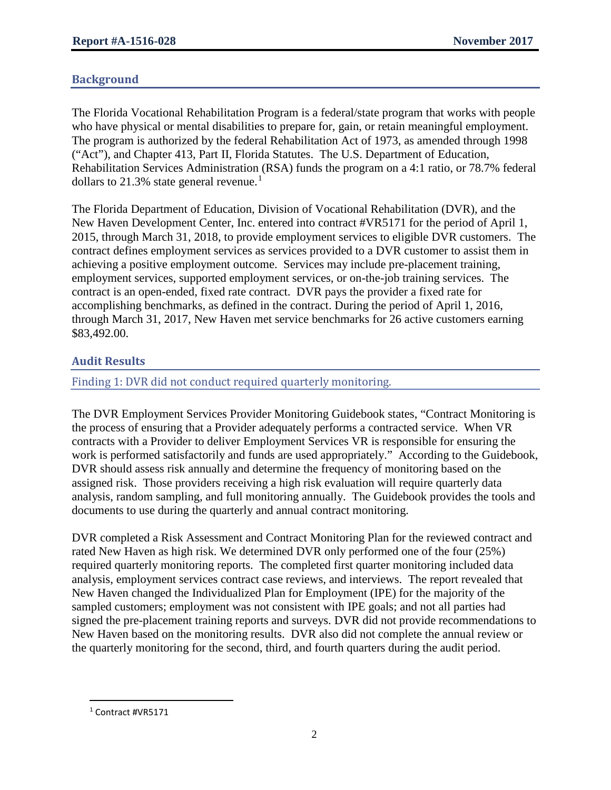# **Background**

The Florida Vocational Rehabilitation Program is a federal/state program that works with people who have physical or mental disabilities to prepare for, gain, or retain meaningful employment. The program is authorized by the federal Rehabilitation Act of 1973, as amended through 1998 ("Act"), and Chapter 413, Part II, Florida Statutes. The U.S. Department of Education, Rehabilitation Services Administration (RSA) funds the program on a 4:1 ratio, or 78.7% federal dollars to 2[1](#page-1-0).3% state general revenue.<sup>1</sup>

The Florida Department of Education, Division of Vocational Rehabilitation (DVR), and the New Haven Development Center, Inc. entered into contract #VR5171 for the period of April 1, 2015, through March 31, 2018, to provide employment services to eligible DVR customers. The contract defines employment services as services provided to a DVR customer to assist them in achieving a positive employment outcome. Services may include pre-placement training, employment services, supported employment services, or on-the-job training services. The contract is an open-ended, fixed rate contract. DVR pays the provider a fixed rate for accomplishing benchmarks, as defined in the contract. During the period of April 1, 2016, through March 31, 2017, New Haven met service benchmarks for 26 active customers earning \$83,492.00.

# **Audit Results**

# Finding 1: DVR did not conduct required quarterly monitoring.

The DVR Employment Services Provider Monitoring Guidebook states, "Contract Monitoring is the process of ensuring that a Provider adequately performs a contracted service. When VR contracts with a Provider to deliver Employment Services VR is responsible for ensuring the work is performed satisfactorily and funds are used appropriately." According to the Guidebook, DVR should assess risk annually and determine the frequency of monitoring based on the assigned risk. Those providers receiving a high risk evaluation will require quarterly data analysis, random sampling, and full monitoring annually. The Guidebook provides the tools and documents to use during the quarterly and annual contract monitoring.

DVR completed a Risk Assessment and Contract Monitoring Plan for the reviewed contract and rated New Haven as high risk. We determined DVR only performed one of the four (25%) required quarterly monitoring reports. The completed first quarter monitoring included data analysis, employment services contract case reviews, and interviews. The report revealed that New Haven changed the Individualized Plan for Employment (IPE) for the majority of the sampled customers; employment was not consistent with IPE goals; and not all parties had signed the pre-placement training reports and surveys. DVR did not provide recommendations to New Haven based on the monitoring results. DVR also did not complete the annual review or the quarterly monitoring for the second, third, and fourth quarters during the audit period.

l

<span id="page-1-0"></span><sup>1</sup> Contract #VR5171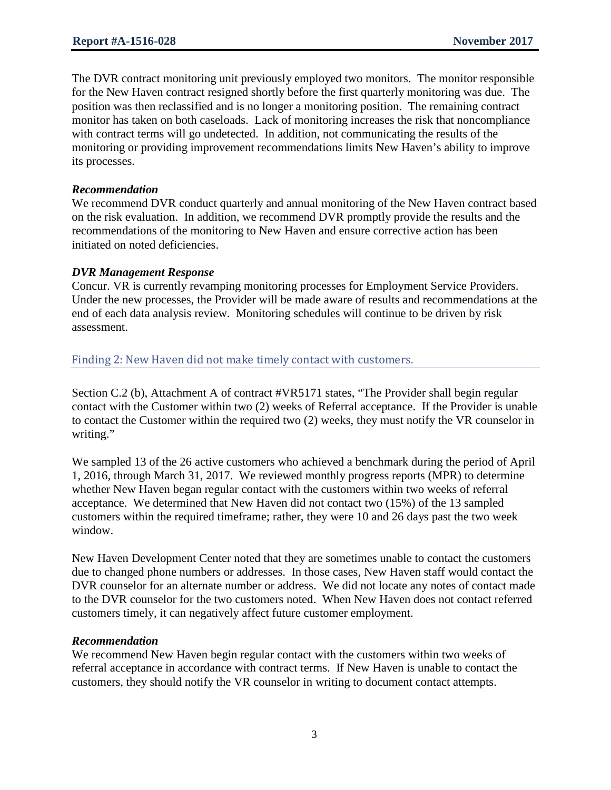The DVR contract monitoring unit previously employed two monitors. The monitor responsible for the New Haven contract resigned shortly before the first quarterly monitoring was due. The position was then reclassified and is no longer a monitoring position. The remaining contract monitor has taken on both caseloads. Lack of monitoring increases the risk that noncompliance with contract terms will go undetected. In addition, not communicating the results of the monitoring or providing improvement recommendations limits New Haven's ability to improve its processes.

### *Recommendation*

We recommend DVR conduct quarterly and annual monitoring of the New Haven contract based on the risk evaluation. In addition, we recommend DVR promptly provide the results and the recommendations of the monitoring to New Haven and ensure corrective action has been initiated on noted deficiencies.

## *DVR Management Response*

Concur. VR is currently revamping monitoring processes for Employment Service Providers. Under the new processes, the Provider will be made aware of results and recommendations at the end of each data analysis review. Monitoring schedules will continue to be driven by risk assessment.

## Finding 2: New Haven did not make timely contact with customers.

Section C.2 (b), Attachment A of contract #VR5171 states, "The Provider shall begin regular contact with the Customer within two (2) weeks of Referral acceptance. If the Provider is unable to contact the Customer within the required two (2) weeks, they must notify the VR counselor in writing."

We sampled 13 of the 26 active customers who achieved a benchmark during the period of April 1, 2016, through March 31, 2017. We reviewed monthly progress reports (MPR) to determine whether New Haven began regular contact with the customers within two weeks of referral acceptance. We determined that New Haven did not contact two (15%) of the 13 sampled customers within the required timeframe; rather, they were 10 and 26 days past the two week window.

New Haven Development Center noted that they are sometimes unable to contact the customers due to changed phone numbers or addresses. In those cases, New Haven staff would contact the DVR counselor for an alternate number or address. We did not locate any notes of contact made to the DVR counselor for the two customers noted. When New Haven does not contact referred customers timely, it can negatively affect future customer employment.

#### *Recommendation*

We recommend New Haven begin regular contact with the customers within two weeks of referral acceptance in accordance with contract terms. If New Haven is unable to contact the customers, they should notify the VR counselor in writing to document contact attempts.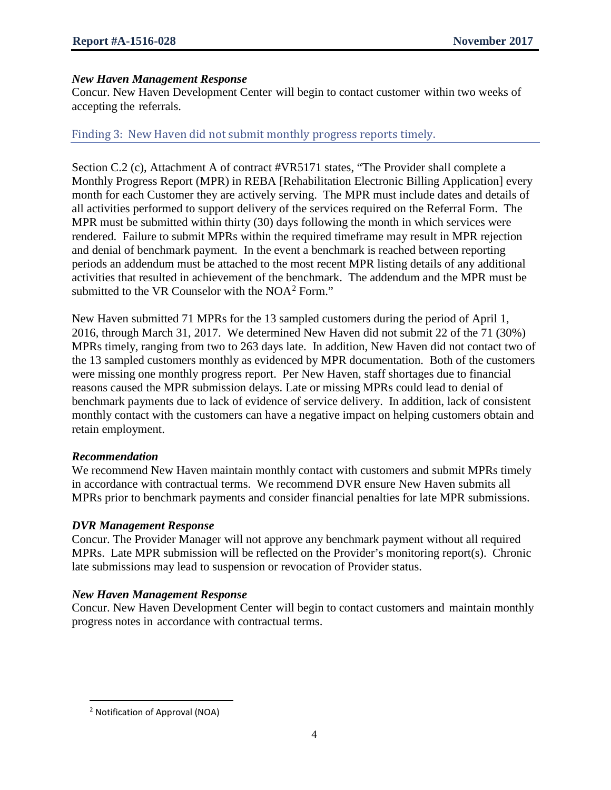## *New Haven Management Response*

Concur. New Haven Development Center will begin to contact customer within two weeks of accepting the referrals.

# Finding 3: New Haven did not submit monthly progress reports timely.

Section C.2 (c), Attachment A of contract #VR5171 states, "The Provider shall complete a Monthly Progress Report (MPR) in REBA [Rehabilitation Electronic Billing Application] every month for each Customer they are actively serving. The MPR must include dates and details of all activities performed to support delivery of the services required on the Referral Form. The MPR must be submitted within thirty (30) days following the month in which services were rendered. Failure to submit MPRs within the required timeframe may result in MPR rejection and denial of benchmark payment. In the event a benchmark is reached between reporting periods an addendum must be attached to the most recent MPR listing details of any additional activities that resulted in achievement of the benchmark. The addendum and the MPR must be submitted to the VR Counselor with the  $NOA<sup>2</sup>$  $NOA<sup>2</sup>$  $NOA<sup>2</sup>$  Form."

New Haven submitted 71 MPRs for the 13 sampled customers during the period of April 1, 2016, through March 31, 2017. We determined New Haven did not submit 22 of the 71 (30%) MPRs timely, ranging from two to 263 days late. In addition, New Haven did not contact two of the 13 sampled customers monthly as evidenced by MPR documentation. Both of the customers were missing one monthly progress report. Per New Haven, staff shortages due to financial reasons caused the MPR submission delays. Late or missing MPRs could lead to denial of benchmark payments due to lack of evidence of service delivery. In addition, lack of consistent monthly contact with the customers can have a negative impact on helping customers obtain and retain employment.

#### *Recommendation*

We recommend New Haven maintain monthly contact with customers and submit MPRs timely in accordance with contractual terms. We recommend DVR ensure New Haven submits all MPRs prior to benchmark payments and consider financial penalties for late MPR submissions.

#### *DVR Management Response*

Concur. The Provider Manager will not approve any benchmark payment without all required MPRs. Late MPR submission will be reflected on the Provider's monitoring report(s). Chronic late submissions may lead to suspension or revocation of Provider status.

#### *New Haven Management Response*

Concur. New Haven Development Center will begin to contact customers and maintain monthly progress notes in accordance with contractual terms.

l

<span id="page-3-0"></span><sup>2</sup> Notification of Approval (NOA)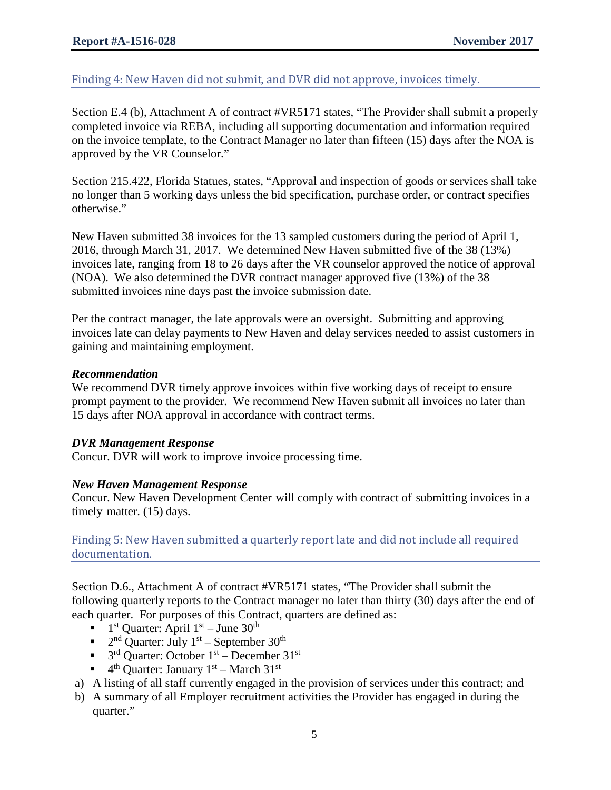# Finding 4: New Haven did not submit, and DVR did not approve, invoices timely.

Section E.4 (b), Attachment A of contract #VR5171 states, "The Provider shall submit a properly completed invoice via REBA, including all supporting documentation and information required on the invoice template, to the Contract Manager no later than fifteen (15) days after the NOA is approved by the VR Counselor."

Section 215.422, Florida Statues, states, "Approval and inspection of goods or services shall take no longer than 5 working days unless the bid specification, purchase order, or contract specifies otherwise."

New Haven submitted 38 invoices for the 13 sampled customers during the period of April 1, 2016, through March 31, 2017. We determined New Haven submitted five of the 38 (13%) invoices late, ranging from 18 to 26 days after the VR counselor approved the notice of approval (NOA). We also determined the DVR contract manager approved five (13%) of the 38 submitted invoices nine days past the invoice submission date.

Per the contract manager, the late approvals were an oversight. Submitting and approving invoices late can delay payments to New Haven and delay services needed to assist customers in gaining and maintaining employment.

## *Recommendation*

We recommend DVR timely approve invoices within five working days of receipt to ensure prompt payment to the provider. We recommend New Haven submit all invoices no later than 15 days after NOA approval in accordance with contract terms.

# *DVR Management Response*

Concur. DVR will work to improve invoice processing time.

# *New Haven Management Response*

Concur. New Haven Development Center will comply with contract of submitting invoices in a timely matter. (15) days.

Finding 5: New Haven submitted a quarterly report late and did not include all required documentation.

Section D.6., Attachment A of contract #VR5171 states, "The Provider shall submit the following quarterly reports to the Contract manager no later than thirty (30) days after the end of each quarter. For purposes of this Contract, quarters are defined as:

- $1<sup>st</sup>$  Quarter: April  $1<sup>st</sup>$  June  $30<sup>th</sup>$
- $\blacksquare$  2<sup>nd</sup> Quarter: July 1<sup>st</sup> September 30<sup>th</sup>
- $\bullet$  3<sup>rd</sup> Quarter: October 1<sup>st</sup> December 31<sup>st</sup>
- $\bullet$  4<sup>th</sup> Quarter: January 1<sup>st</sup> March 31<sup>st</sup>
- a) A listing of all staff currently engaged in the provision of services under this contract; and
- b) A summary of all Employer recruitment activities the Provider has engaged in during the quarter."